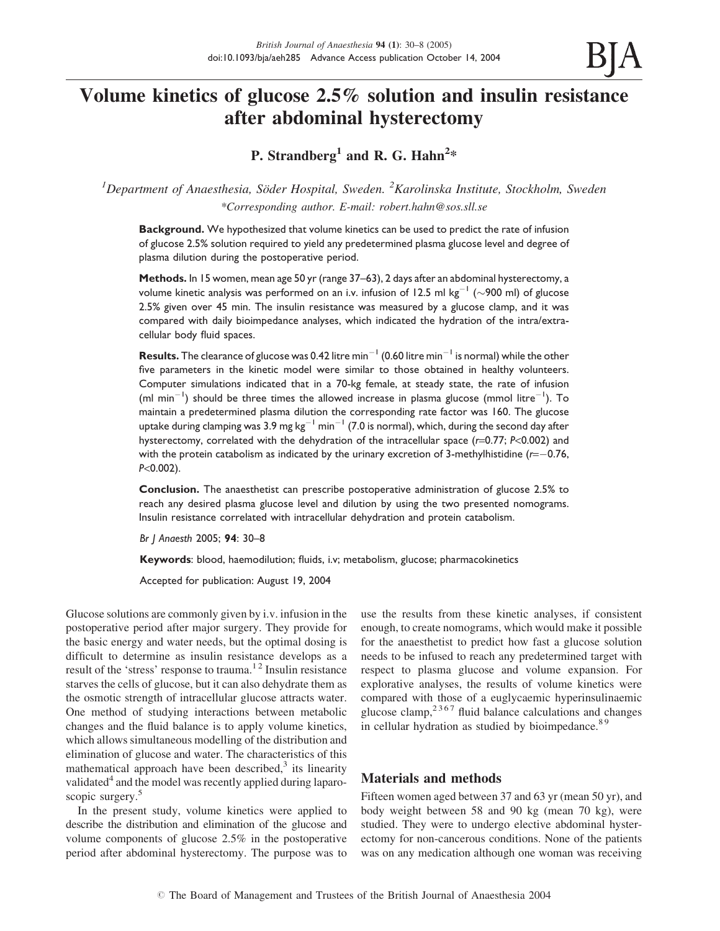

# Volume kinetics of glucose 2.5% solution and insulin resistance after abdominal hysterectomy

P. Strandberg<sup>1</sup> and R. G. Hahn<sup>2</sup>\*

 ${}^{1}$ Department of Anaesthesia, Söder Hospital, Sweden.  ${}^{2}$ Karolinska Institute, Stockholm, Sweden \*Corresponding author. E-mail: robert.hahn@sos.sll.se

**Background.** We hypothesized that volume kinetics can be used to predict the rate of infusion of glucose 2.5% solution required to yield any predetermined plasma glucose level and degree of plasma dilution during the postoperative period.

Methods. In 15 women, mean age 50 yr (range 37–63), 2 days after an abdominal hysterectomy, a volume kinetic analysis was performed on an i.v. infusion of 12.5 ml kg $^{-1}$  ( $\sim$ 900 ml) of glucose 2.5% given over 45 min. The insulin resistance was measured by a glucose clamp, and it was compared with daily bioimpedance analyses, which indicated the hydration of the intra/extracellular body fluid spaces.

**Results.** The clearance of glucose was 0.42 litre min<sup>-1</sup> (0.60 litre min<sup>-1</sup> is normal) while the other five parameters in the kinetic model were similar to those obtained in healthy volunteers. Computer simulations indicated that in a 70-kg female, at steady state, the rate of infusion  $(ml \text{ min}^{-1})$  should be three times the allowed increase in plasma glucose  $(mmol \text{ litre}^{-1})$ . To maintain a predetermined plasma dilution the corresponding rate factor was 160. The glucose uptake during clamping was 3.9 mg kg $^{-1}$  min $^{-1}$  (7.0 is normal), which, during the second day after hysterectomy, correlated with the dehydration of the intracellular space (r=0.77; P<0.002) and with the protein catabolism as indicated by the urinary excretion of 3-methylhistidine  $(r=-0.76,$ P<0.002).

Conclusion. The anaesthetist can prescribe postoperative administration of glucose 2.5% to reach any desired plasma glucose level and dilution by using the two presented nomograms. Insulin resistance correlated with intracellular dehydration and protein catabolism.

Br J Anaesth 2005; 94: 30–8

Keywords: blood, haemodilution; fluids, i.v; metabolism, glucose; pharmacokinetics

Accepted for publication: August 19, 2004

Glucose solutions are commonly given by i.v. infusion in the postoperative period after major surgery. They provide for the basic energy and water needs, but the optimal dosing is difficult to determine as insulin resistance develops as a result of the 'stress' response to trauma.<sup>12</sup> Insulin resistance starves the cells of glucose, but it can also dehydrate them as the osmotic strength of intracellular glucose attracts water. One method of studying interactions between metabolic changes and the fluid balance is to apply volume kinetics, which allows simultaneous modelling of the distribution and elimination of glucose and water. The characteristics of this mathematical approach have been described, $3$  its linearity validated<sup>4</sup> and the model was recently applied during laparoscopic surgery.<sup>5</sup>

In the present study, volume kinetics were applied to describe the distribution and elimination of the glucose and volume components of glucose 2.5% in the postoperative period after abdominal hysterectomy. The purpose was to use the results from these kinetic analyses, if consistent enough, to create nomograms, which would make it possible for the anaesthetist to predict how fast a glucose solution needs to be infused to reach any predetermined target with respect to plasma glucose and volume expansion. For explorative analyses, the results of volume kinetics were compared with those of a euglycaemic hyperinsulinaemic glucose clamp, $2367$  fluid balance calculations and changes in cellular hydration as studied by bioimpedance.<sup>89</sup>

# Materials and methods

Fifteen women aged between 37 and 63 yr (mean 50 yr), and body weight between 58 and 90 kg (mean 70 kg), were studied. They were to undergo elective abdominal hysterectomy for non-cancerous conditions. None of the patients was on any medication although one woman was receiving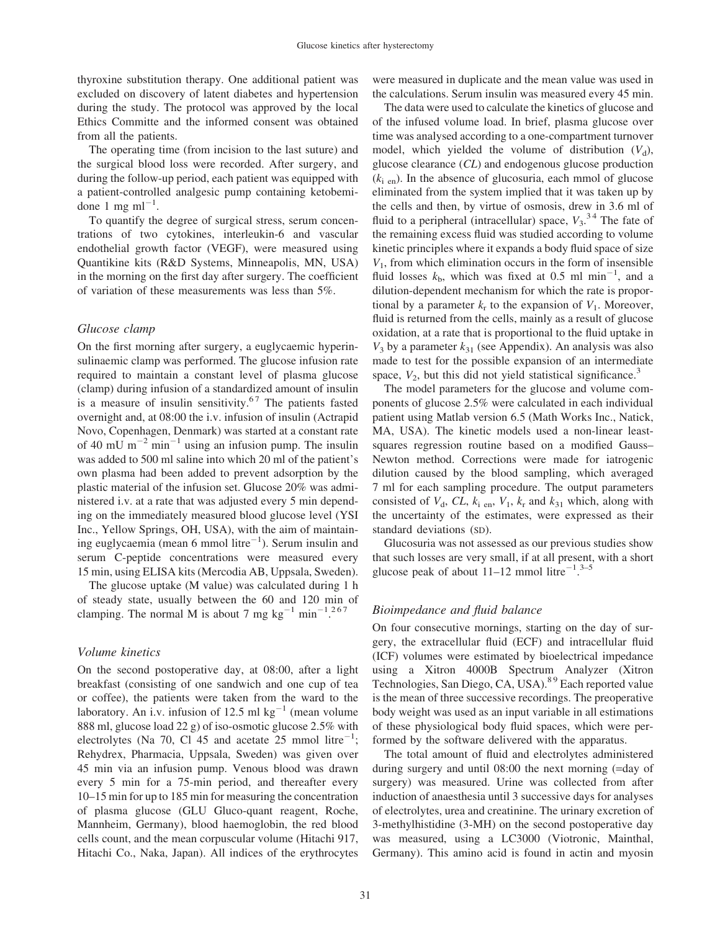thyroxine substitution therapy. One additional patient was excluded on discovery of latent diabetes and hypertension during the study. The protocol was approved by the local Ethics Committe and the informed consent was obtained from all the patients.

The operating time (from incision to the last suture) and the surgical blood loss were recorded. After surgery, and during the follow-up period, each patient was equipped with a patient-controlled analgesic pump containing ketobemidone 1 mg m $l^{-1}$ .

To quantify the degree of surgical stress, serum concentrations of two cytokines, interleukin-6 and vascular endothelial growth factor (VEGF), were measured using Quantikine kits (R&D Systems, Minneapolis, MN, USA) in the morning on the first day after surgery. The coefficient of variation of these measurements was less than 5%.

# Glucose clamp

On the first morning after surgery, a euglycaemic hyperinsulinaemic clamp was performed. The glucose infusion rate required to maintain a constant level of plasma glucose (clamp) during infusion of a standardized amount of insulin is a measure of insulin sensitivity.<sup>67</sup> The patients fasted overnight and, at 08:00 the i.v. infusion of insulin (Actrapid Novo, Copenhagen, Denmark) was started at a constant rate of 40 mU  $m^{-2}$  min<sup>-1</sup> using an infusion pump. The insulin was added to 500 ml saline into which 20 ml of the patient's own plasma had been added to prevent adsorption by the plastic material of the infusion set. Glucose 20% was administered i.v. at a rate that was adjusted every 5 min depending on the immediately measured blood glucose level (YSI Inc., Yellow Springs, OH, USA), with the aim of maintaining euglycaemia (mean 6 mmol litre $^{-1}$ ). Serum insulin and serum C-peptide concentrations were measured every 15 min, using ELISA kits (Mercodia AB, Uppsala, Sweden).

The glucose uptake (M value) was calculated during 1 h of steady state, usually between the 60 and 120 min of clamping. The normal M is about 7 mg  $\text{kg}^{-1}$  min<sup>-1.267</sup>

## Volume kinetics

On the second postoperative day, at 08:00, after a light breakfast (consisting of one sandwich and one cup of tea or coffee), the patients were taken from the ward to the laboratory. An i.v. infusion of 12.5 ml  $kg^{-1}$  (mean volume 888 ml, glucose load 22 g) of iso-osmotic glucose 2.5% with electrolytes (Na 70, Cl 45 and acetate  $25$  mmol litre<sup>-1</sup>; Rehydrex, Pharmacia, Uppsala, Sweden) was given over 45 min via an infusion pump. Venous blood was drawn every 5 min for a 75-min period, and thereafter every 10–15 min for up to 185 min for measuring the concentration of plasma glucose (GLU Gluco-quant reagent, Roche, Mannheim, Germany), blood haemoglobin, the red blood cells count, and the mean corpuscular volume (Hitachi 917, Hitachi Co., Naka, Japan). All indices of the erythrocytes

were measured in duplicate and the mean value was used in the calculations. Serum insulin was measured every 45 min.

The data were used to calculate the kinetics of glucose and of the infused volume load. In brief, plasma glucose over time was analysed according to a one-compartment turnover model, which yielded the volume of distribution  $(V_d)$ , glucose clearance (CL) and endogenous glucose production  $(k<sub>i en</sub>)$ . In the absence of glucosuria, each mmol of glucose eliminated from the system implied that it was taken up by the cells and then, by virtue of osmosis, drew in 3.6 ml of fluid to a peripheral (intracellular) space,  $V_3$ .<sup>34</sup> The fate of the remaining excess fluid was studied according to volume kinetic principles where it expands a body fluid space of size  $V_1$ , from which elimination occurs in the form of insensible fluid losses  $k<sub>b</sub>$ , which was fixed at 0.5 ml min<sup>-1</sup>, and a dilution-dependent mechanism for which the rate is proportional by a parameter  $k_r$  to the expansion of  $V_1$ . Moreover, fluid is returned from the cells, mainly as a result of glucose oxidation, at a rate that is proportional to the fluid uptake in  $V_3$  by a parameter  $k_{31}$  (see Appendix). An analysis was also made to test for the possible expansion of an intermediate space,  $V_2$ , but this did not yield statistical significance.<sup>3</sup>

The model parameters for the glucose and volume components of glucose 2.5% were calculated in each individual patient using Matlab version 6.5 (Math Works Inc., Natick, MA, USA). The kinetic models used a non-linear leastsquares regression routine based on a modified Gauss– Newton method. Corrections were made for iatrogenic dilution caused by the blood sampling, which averaged 7 ml for each sampling procedure. The output parameters consisted of  $V_d$ , CL,  $k_i$  en,  $V_1$ ,  $k_r$  and  $k_{31}$  which, along with the uncertainty of the estimates, were expressed as their standard deviations (SD).

Glucosuria was not assessed as our previous studies show that such losses are very small, if at all present, with a short glucose peak of about  $11-12$  mmol litre<sup>-1.3-5</sup>

#### Bioimpedance and fluid balance

On four consecutive mornings, starting on the day of surgery, the extracellular fluid (ECF) and intracellular fluid (ICF) volumes were estimated by bioelectrical impedance using a Xitron 4000B Spectrum Analyzer (Xitron Technologies, San Diego, CA, USA).<sup>89</sup> Each reported value is the mean of three successive recordings. The preoperative body weight was used as an input variable in all estimations of these physiological body fluid spaces, which were performed by the software delivered with the apparatus.

The total amount of fluid and electrolytes administered during surgery and until 08:00 the next morning (=day of surgery) was measured. Urine was collected from after induction of anaesthesia until 3 successive days for analyses of electrolytes, urea and creatinine. The urinary excretion of 3-methylhistidine (3-MH) on the second postoperative day was measured, using a LC3000 (Viotronic, Mainthal, Germany). This amino acid is found in actin and myosin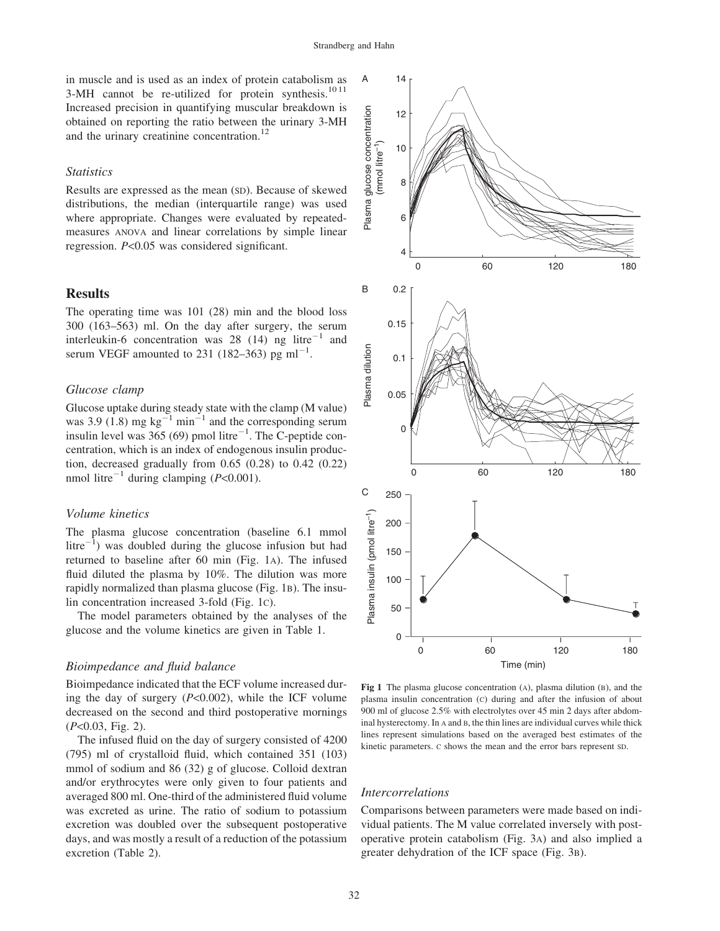in muscle and is used as an index of protein catabolism as 3-MH cannot be re-utilized for protein synthesis. $1011$ Increased precision in quantifying muscular breakdown is obtained on reporting the ratio between the urinary 3-MH and the urinary creatinine concentration.<sup>12</sup>

## **Statistics**

Results are expressed as the mean (SD). Because of skewed distributions, the median (interquartile range) was used where appropriate. Changes were evaluated by repeatedmeasures ANOVA and linear correlations by simple linear regression. P<0.05 was considered significant.

## Results

The operating time was 101 (28) min and the blood loss 300 (163–563) ml. On the day after surgery, the serum interleukin-6 concentration was 28 (14) ng litre<sup>-1</sup> and serum VEGF amounted to 231 (182–363) pg ml<sup>-1</sup>.

## Glucose clamp

Glucose uptake during steady state with the clamp (M value) was 3.9 (1.8) mg  $kg^{-1}$  min<sup>-1</sup> and the corresponding serum insulin level was  $365(69)$  pmol litre<sup>-1</sup>. The C-peptide concentration, which is an index of endogenous insulin production, decreased gradually from 0.65 (0.28) to 0.42 (0.22) nmol litre<sup>-1</sup> during clamping ( $P<0.001$ ).

### Volume kinetics

The plasma glucose concentration (baseline 6.1 mmol litre $^{-1}$ ) was doubled during the glucose infusion but had returned to baseline after 60 min (Fig. 1A). The infused fluid diluted the plasma by 10%. The dilution was more rapidly normalized than plasma glucose (Fig. 1B). The insulin concentration increased 3-fold (Fig. 1C).

The model parameters obtained by the analyses of the glucose and the volume kinetics are given in Table 1.

#### Bioimpedance and fluid balance

Bioimpedance indicated that the ECF volume increased during the day of surgery  $(P<0.002)$ , while the ICF volume decreased on the second and third postoperative mornings  $(P<0.03, Fig. 2)$ .

The infused fluid on the day of surgery consisted of 4200 (795) ml of crystalloid fluid, which contained 351 (103) mmol of sodium and 86 (32) g of glucose. Colloid dextran and/or erythrocytes were only given to four patients and averaged 800 ml. One-third of the administered fluid volume was excreted as urine. The ratio of sodium to potassium excretion was doubled over the subsequent postoperative days, and was mostly a result of a reduction of the potassium excretion (Table 2).



Fig 1 The plasma glucose concentration (A), plasma dilution (B), and the plasma insulin concentration (C) during and after the infusion of about 900 ml of glucose 2.5% with electrolytes over 45 min 2 days after abdominal hysterectomy. In A and B, the thin lines are individual curves while thick lines represent simulations based on the averaged best estimates of the kinetic parameters. C shows the mean and the error bars represent SD.

#### Intercorrelations

Comparisons between parameters were made based on individual patients. The M value correlated inversely with postoperative protein catabolism (Fig. 3A) and also implied a greater dehydration of the ICF space (Fig. 3B).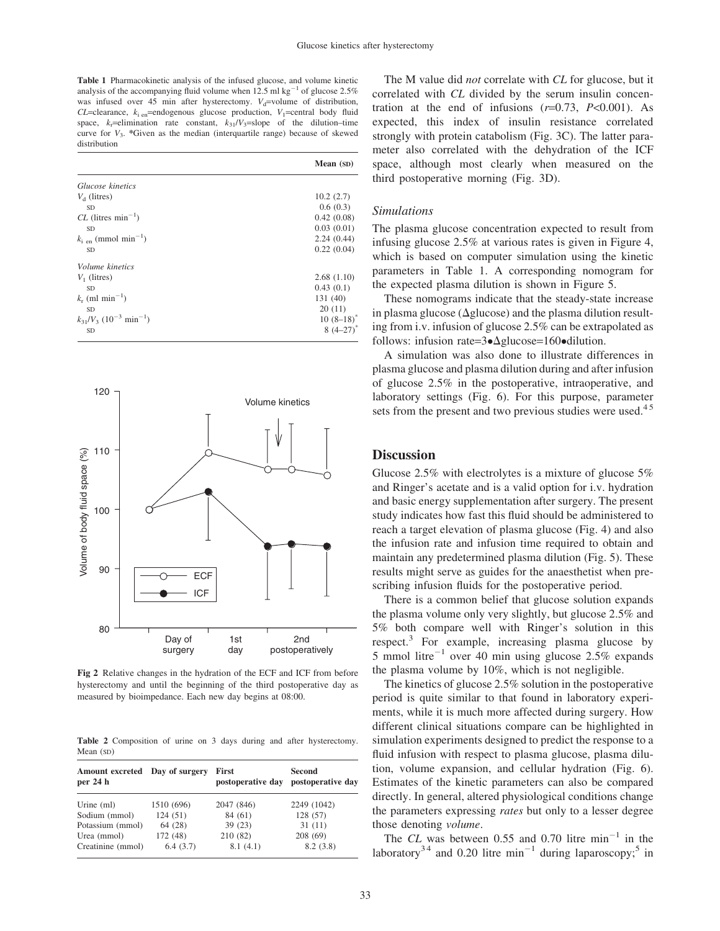Table 1 Pharmacokinetic analysis of the infused glucose, and volume kinetic analysis of the accompanying fluid volume when  $12.5$  ml kg<sup>-1</sup> of glucose  $2.5\%$ was infused over 45 min after hysterectomy.  $V_d$ =volume of distribution,  $CL$ =clearance,  $k_i$ <sub>en</sub>=endogenous glucose production,  $V_1$ =central body fluid space,  $k<sub>r</sub>=$ elimination rate constant,  $k<sub>31</sub>/V<sub>3</sub>=$ slope of the dilution–time curve for  $V_3$ . \*Given as the median (interquartile range) because of skewed distribution

|                                                    | Mean (SD)     |
|----------------------------------------------------|---------------|
| Glucose kinetics                                   |               |
| $Vd$ (litres)                                      | 10.2(2.7)     |
| <b>SD</b>                                          | 0.6(0.3)      |
| $CL$ (litres min <sup>-1</sup> )                   | 0.42(0.08)    |
| <b>SD</b>                                          | 0.03(0.01)    |
| $k_{\rm i, en}$ (mmol min <sup>-1</sup> )          | 2.24(0.44)    |
| <b>SD</b>                                          | 0.22(0.04)    |
| <i>Volume kinetics</i>                             |               |
| $V_1$ (litres)                                     | 2.68(1.10)    |
| <b>SD</b>                                          | 0.43(0.1)     |
| $k_r$ (ml min <sup>-1</sup> )                      | 131 (40)      |
| <b>SD</b>                                          | 20(11)        |
| $k_{31}/V_3$ (10 <sup>-3</sup> min <sup>-1</sup> ) | $10 (8-18)^*$ |
| SD                                                 | $8(4-27)$     |



Fig 2 Relative changes in the hydration of the ECF and ICF from before hysterectomy and until the beginning of the third postoperative day as measured by bioimpedance. Each new day begins at 08:00.

Table 2 Composition of urine on 3 days during and after hysterectomy. Mean (SD)

| Amount excreted Day of surgery<br>per 24 h |            | First<br>postoperative day | <b>Second</b><br>postoperative day |
|--------------------------------------------|------------|----------------------------|------------------------------------|
| Urine $(ml)$                               | 1510 (696) | 2047 (846)                 | 2249 (1042)                        |
| Sodium (mmol)                              | 124(51)    | 84 (61)                    | 128 (57)                           |
| Potassium (mmol)                           | 64 (28)    | 39(23)                     | 31(11)                             |
| Urea (mmol)                                | 172 (48)   | 210 (82)                   | 208 (69)                           |
| Creatinine (mmol)                          | 6.4(3.7)   | 8.1(4.1)                   | 8.2(3.8)                           |

The M value did *not* correlate with *CL* for glucose, but it correlated with CL divided by the serum insulin concentration at the end of infusions  $(r=0.73, P<0.001)$ . As expected, this index of insulin resistance correlated strongly with protein catabolism (Fig. 3C). The latter parameter also correlated with the dehydration of the ICF space, although most clearly when measured on the third postoperative morning (Fig. 3D).

#### Simulations

The plasma glucose concentration expected to result from infusing glucose 2.5% at various rates is given in Figure 4, which is based on computer simulation using the kinetic parameters in Table 1. A corresponding nomogram for the expected plasma dilution is shown in Figure 5.

These nomograms indicate that the steady-state increase in plasma glucose ( $\Delta$ glucose) and the plasma dilution resulting from i.v. infusion of glucose 2.5% can be extrapolated as follows: infusion rate= $3 \cdot \Delta$ glucose=160 $\bullet$ dilution.

A simulation was also done to illustrate differences in plasma glucose and plasma dilution during and after infusion of glucose 2.5% in the postoperative, intraoperative, and laboratory settings (Fig. 6). For this purpose, parameter sets from the present and two previous studies were used.<sup>45</sup>

# **Discussion**

Glucose 2.5% with electrolytes is a mixture of glucose 5% and Ringer's acetate and is a valid option for i.v. hydration and basic energy supplementation after surgery. The present study indicates how fast this fluid should be administered to reach a target elevation of plasma glucose (Fig. 4) and also the infusion rate and infusion time required to obtain and maintain any predetermined plasma dilution (Fig. 5). These results might serve as guides for the anaesthetist when prescribing infusion fluids for the postoperative period.

There is a common belief that glucose solution expands the plasma volume only very slightly, but glucose 2.5% and 5% both compare well with Ringer's solution in this respect.<sup>3</sup> For example, increasing plasma glucose by 5 mmol litre<sup>-1</sup> over 40 min using glucose 2.5% expands the plasma volume by 10%, which is not negligible.

The kinetics of glucose 2.5% solution in the postoperative period is quite similar to that found in laboratory experiments, while it is much more affected during surgery. How different clinical situations compare can be highlighted in simulation experiments designed to predict the response to a fluid infusion with respect to plasma glucose, plasma dilution, volume expansion, and cellular hydration (Fig. 6). Estimates of the kinetic parameters can also be compared directly. In general, altered physiological conditions change the parameters expressing rates but only to a lesser degree those denoting volume.

The CL was between 0.55 and 0.70 litre  $min^{-1}$  in the laboratory<sup>34</sup> and 0.20 litre min<sup>-1</sup> during laparoscopy;<sup>5</sup> in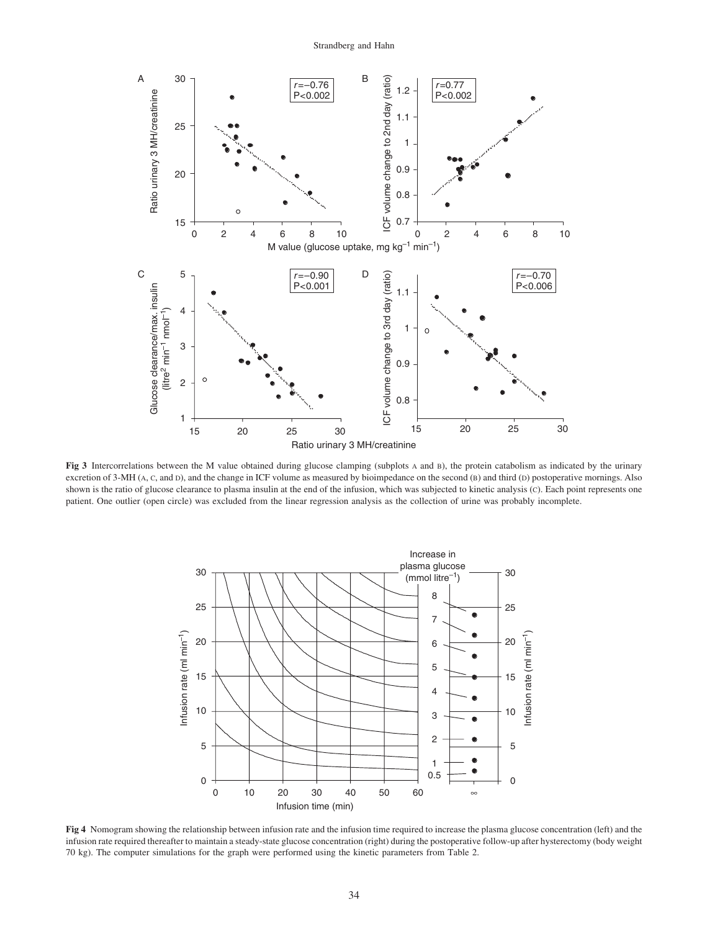

Fig 3 Intercorrelations between the M value obtained during glucose clamping (subplots A and B), the protein catabolism as indicated by the urinary excretion of 3-MH (A, C, and D), and the change in ICF volume as measured by bioimpedance on the second (B) and third (D) postoperative mornings. Also shown is the ratio of glucose clearance to plasma insulin at the end of the infusion, which was subjected to kinetic analysis (C). Each point represents one patient. One outlier (open circle) was excluded from the linear regression analysis as the collection of urine was probably incomplete.



Fig 4 Nomogram showing the relationship between infusion rate and the infusion time required to increase the plasma glucose concentration (left) and the infusion rate required thereafter to maintain a steady-state glucose concentration (right) during the postoperative follow-up after hysterectomy (body weight 70 kg). The computer simulations for the graph were performed using the kinetic parameters from Table 2.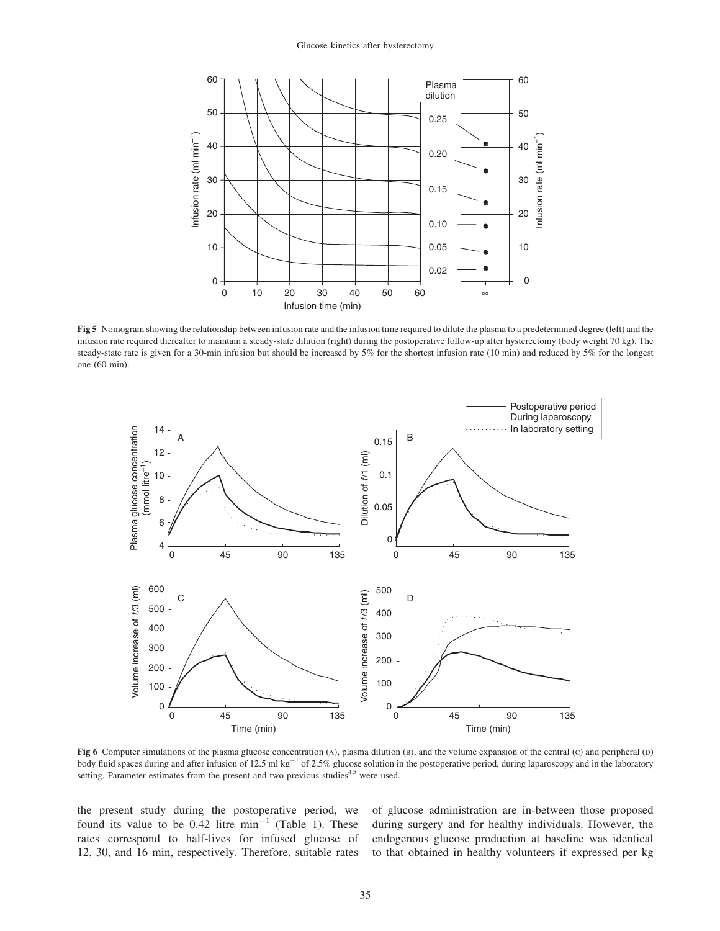

Fig 5 Nomogram showing the relationship between infusion rate and the infusion time required to dilute the plasma to a predetermined degree (left) and the infusion rate required thereafter to maintain a steady-state dilution (right) during the postoperative follow-up after hysterectomy (body weight 70 kg). The steady-state rate is given for a 30-min infusion but should be increased by 5% for the shortest infusion rate (10 min) and reduced by 5% for the longest one (60 min).



Fig 6 Computer simulations of the plasma glucose concentration (A), plasma dilution (B), and the volume expansion of the central (C) and peripheral (D) body fluid spaces during and after infusion of 12.5 ml kg<sup>-1</sup> of 2.5% glucose solution in the postoperative period, during laparoscopy and in the laboratory setting. Parameter estimates from the present and two previous studies<sup>45</sup> were used.

the present study during the postoperative period, we found its value to be  $0.42$  litre min<sup>-1</sup> (Table 1). These rates correspond to half-lives for infused glucose of 12, 30, and 16 min, respectively. Therefore, suitable rates of glucose administration are in-between those proposed during surgery and for healthy individuals. However, the endogenous glucose production at baseline was identical to that obtained in healthy volunteers if expressed per kg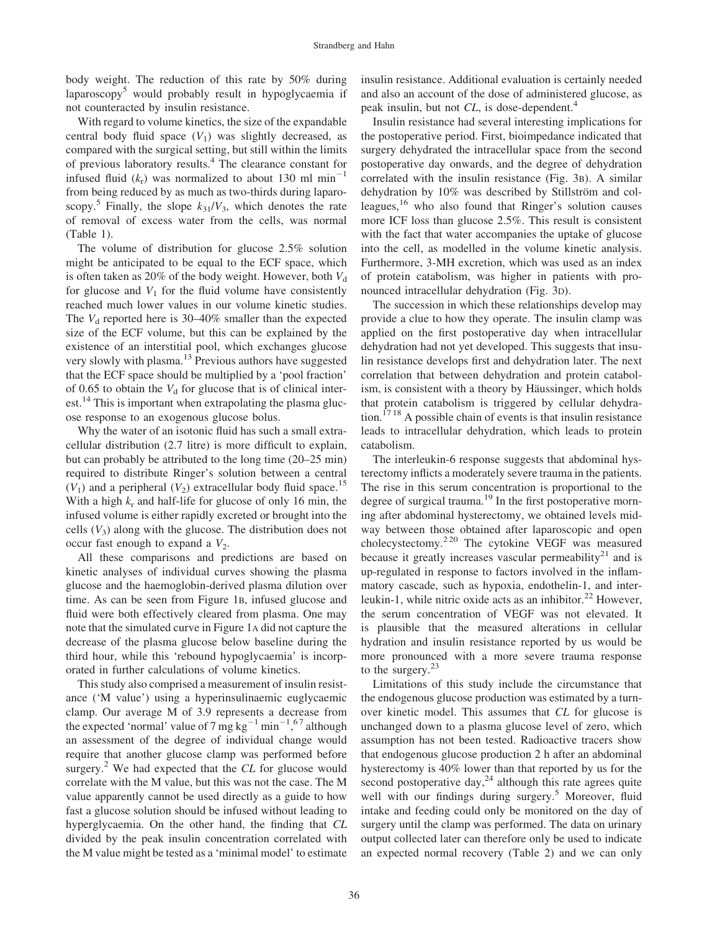body weight. The reduction of this rate by 50% during laparoscopy<sup>5</sup> would probably result in hypoglycaemia if not counteracted by insulin resistance.

With regard to volume kinetics, the size of the expandable central body fluid space  $(V_1)$  was slightly decreased, as compared with the surgical setting, but still within the limits of previous laboratory results.4 The clearance constant for infused fluid  $(k_r)$  was normalized to about 130 ml min<sup>-1</sup> from being reduced by as much as two-thirds during laparoscopy.<sup>5</sup> Finally, the slope  $k_{31}/V_3$ , which denotes the rate of removal of excess water from the cells, was normal (Table 1).

The volume of distribution for glucose 2.5% solution might be anticipated to be equal to the ECF space, which is often taken as 20% of the body weight. However, both  $V_d$ for glucose and  $V_1$  for the fluid volume have consistently reached much lower values in our volume kinetic studies. The  $V_d$  reported here is 30–40% smaller than the expected size of the ECF volume, but this can be explained by the existence of an interstitial pool, which exchanges glucose very slowly with plasma.<sup>13</sup> Previous authors have suggested that the ECF space should be multiplied by a 'pool fraction' of 0.65 to obtain the  $V_d$  for glucose that is of clinical interest.<sup>14</sup> This is important when extrapolating the plasma glucose response to an exogenous glucose bolus.

Why the water of an isotonic fluid has such a small extracellular distribution (2.7 litre) is more difficult to explain, but can probably be attributed to the long time (20–25 min) required to distribute Ringer's solution between a central  $(V_1)$  and a peripheral  $(V_2)$  extracellular body fluid space.<sup>15</sup> With a high  $k_r$  and half-life for glucose of only 16 min, the infused volume is either rapidly excreted or brought into the cells  $(V_3)$  along with the glucose. The distribution does not occur fast enough to expand a  $V_2$ .

All these comparisons and predictions are based on kinetic analyses of individual curves showing the plasma glucose and the haemoglobin-derived plasma dilution over time. As can be seen from Figure 1B, infused glucose and fluid were both effectively cleared from plasma. One may note that the simulated curve in Figure 1A did not capture the decrease of the plasma glucose below baseline during the third hour, while this 'rebound hypoglycaemia' is incorporated in further calculations of volume kinetics.

This study also comprised a measurement of insulin resistance ('M value') using a hyperinsulinaemic euglycaemic clamp. Our average M of 3.9 represents a decrease from the expected 'normal' value of 7 mg  $kg^{-1}$  min<sup>-1</sup>,<sup>67</sup> although an assessment of the degree of individual change would require that another glucose clamp was performed before surgery.<sup>2</sup> We had expected that the  $CL$  for glucose would correlate with the M value, but this was not the case. The M value apparently cannot be used directly as a guide to how fast a glucose solution should be infused without leading to hyperglycaemia. On the other hand, the finding that CL divided by the peak insulin concentration correlated with the M value might be tested as a 'minimal model' to estimate

insulin resistance. Additional evaluation is certainly needed and also an account of the dose of administered glucose, as peak insulin, but not CL, is dose-dependent.<sup>4</sup>

Insulin resistance had several interesting implications for the postoperative period. First, bioimpedance indicated that surgery dehydrated the intracellular space from the second postoperative day onwards, and the degree of dehydration correlated with the insulin resistance (Fig. 3B). A similar dehydration by 10% was described by Stillström and colleagues, $16$  who also found that Ringer's solution causes more ICF loss than glucose 2.5%. This result is consistent with the fact that water accompanies the uptake of glucose into the cell, as modelled in the volume kinetic analysis. Furthermore, 3-MH excretion, which was used as an index of protein catabolism, was higher in patients with pronounced intracellular dehydration (Fig. 3D).

The succession in which these relationships develop may provide a clue to how they operate. The insulin clamp was applied on the first postoperative day when intracellular dehydration had not yet developed. This suggests that insulin resistance develops first and dehydration later. The next correlation that between dehydration and protein catabolism, is consistent with a theory by Häussinger, which holds that protein catabolism is triggered by cellular dehydra- $\frac{1718}{9}$  A possible chain of events is that insulin resistance leads to intracellular dehydration, which leads to protein catabolism.

The interleukin-6 response suggests that abdominal hysterectomy inflicts a moderately severe trauma in the patients. The rise in this serum concentration is proportional to the degree of surgical trauma.<sup>19</sup> In the first postoperative morning after abdominal hysterectomy, we obtained levels midway between those obtained after laparoscopic and open cholecystectomy.2 20 The cytokine VEGF was measured because it greatly increases vascular permeability<sup>21</sup> and is up-regulated in response to factors involved in the inflammatory cascade, such as hypoxia, endothelin-1, and interleukin-1, while nitric oxide acts as an inhibitor. $^{22}$  However, the serum concentration of VEGF was not elevated. It is plausible that the measured alterations in cellular hydration and insulin resistance reported by us would be more pronounced with a more severe trauma response to the surgery. $23$ 

Limitations of this study include the circumstance that the endogenous glucose production was estimated by a turnover kinetic model. This assumes that CL for glucose is unchanged down to a plasma glucose level of zero, which assumption has not been tested. Radioactive tracers show that endogenous glucose production 2 h after an abdominal hysterectomy is 40% lower than that reported by us for the second postoperative day, $^{24}$  although this rate agrees quite well with our findings during surgery.<sup>5</sup> Moreover, fluid intake and feeding could only be monitored on the day of surgery until the clamp was performed. The data on urinary output collected later can therefore only be used to indicate an expected normal recovery (Table 2) and we can only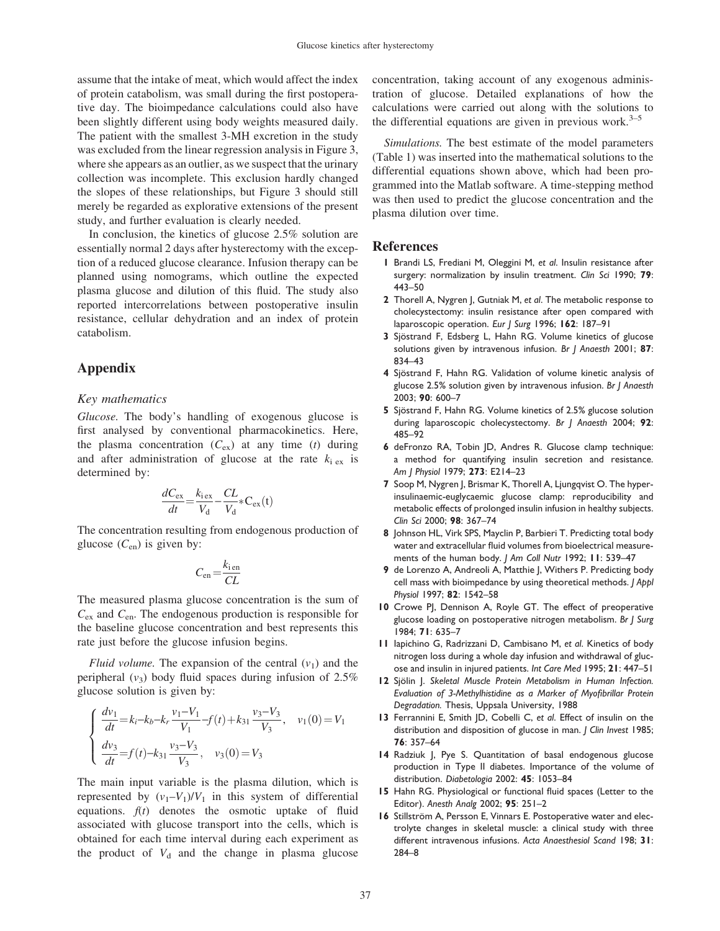assume that the intake of meat, which would affect the index of protein catabolism, was small during the first postoperative day. The bioimpedance calculations could also have been slightly different using body weights measured daily. The patient with the smallest 3-MH excretion in the study was excluded from the linear regression analysis in Figure 3, where she appears as an outlier, as we suspect that the urinary collection was incomplete. This exclusion hardly changed the slopes of these relationships, but Figure 3 should still merely be regarded as explorative extensions of the present study, and further evaluation is clearly needed.

In conclusion, the kinetics of glucose 2.5% solution are essentially normal 2 days after hysterectomy with the exception of a reduced glucose clearance. Infusion therapy can be planned using nomograms, which outline the expected plasma glucose and dilution of this fluid. The study also reported intercorrelations between postoperative insulin resistance, cellular dehydration and an index of protein catabolism.

# Appendix

## Key mathematics

Glucose. The body's handling of exogenous glucose is first analysed by conventional pharmacokinetics. Here, the plasma concentration  $(C_{ex})$  at any time (t) during and after administration of glucose at the rate  $k_i$  ex is determined by:

$$
\frac{dC_{\text{ex}}}{dt} = \frac{k_{\text{lex}}}{V_{\text{d}}} - \frac{CL}{V_{\text{d}}} * C_{\text{ex}}(t)
$$

The concentration resulting from endogenous production of glucose  $(C_{en})$  is given by:

$$
C_{\text{en}} = \frac{k_{\text{ien}}}{CL}
$$

The measured plasma glucose concentration is the sum of  $C_{\text{ex}}$  and  $C_{\text{en}}$ . The endogenous production is responsible for the baseline glucose concentration and best represents this rate just before the glucose infusion begins.

*Fluid volume.* The expansion of the central  $(v_1)$  and the peripheral  $(v_3)$  body fluid spaces during infusion of 2.5% glucose solution is given by:

$$
\begin{cases}\n\frac{dv_1}{dt} = k_i - k_b - k_r \frac{v_1 - V_1}{V_1} - f(t) + k_{31} \frac{v_3 - V_3}{V_3}, & v_1(0) = V_1 \\
\frac{dv_3}{dt} = f(t) - k_{31} \frac{v_3 - V_3}{V_3}, & v_3(0) = V_3\n\end{cases}
$$

The main input variable is the plasma dilution, which is represented by  $(v_1-V_1)/V_1$  in this system of differential equations.  $f(t)$  denotes the osmotic uptake of fluid associated with glucose transport into the cells, which is obtained for each time interval during each experiment as the product of  $V_d$  and the change in plasma glucose concentration, taking account of any exogenous administration of glucose. Detailed explanations of how the calculations were carried out along with the solutions to the differential equations are given in previous work. $3-5$ 

Simulations. The best estimate of the model parameters (Table 1) was inserted into the mathematical solutions to the differential equations shown above, which had been programmed into the Matlab software. A time-stepping method was then used to predict the glucose concentration and the plasma dilution over time.

#### References

- 1 Brandi LS, Frediani M, Oleggini M, et al. Insulin resistance after surgery: normalization by insulin treatment. Clin Sci 1990; 79: 443–50
- 2 Thorell A, Nygren J, Gutniak M, et al. The metabolic response to cholecystectomy: insulin resistance after open compared with laparoscopic operation. Eur J Surg 1996; 162: 187-91
- 3 Sjöstrand F, Edsberg L, Hahn RG. Volume kinetics of glucose solutions given by intravenous infusion. Br J Anaesth 2001; 87: 834–43
- 4 Sjöstrand F, Hahn RG. Validation of volume kinetic analysis of glucose 2.5% solution given by intravenous infusion. Br J Anaesth 2003; 90: 600–7
- 5 Sjöstrand F, Hahn RG. Volume kinetics of 2.5% glucose solution during laparoscopic cholecystectomy. Br | Anaesth 2004; 92: 485–92
- 6 deFronzo RA, Tobin JD, Andres R. Glucose clamp technique: a method for quantifying insulin secretion and resistance. Am J Physiol 1979; 273: E214–23
- 7 Soop M, Nygren J, Brismar K, Thorell A, Ljungqvist O. The hyperinsulinaemic-euglycaemic glucose clamp: reproducibility and metabolic effects of prolonged insulin infusion in healthy subjects. Clin Sci 2000; 98: 367–74
- 8 Johnson HL, Virk SPS, Mayclin P, Barbieri T. Predicting total body water and extracellular fluid volumes from bioelectrical measurements of the human body. J Am Coll Nutr 1992; 11: 539-47
- 9 de Lorenzo A, Andreoli A, Matthie J, Withers P. Predicting body cell mass with bioimpedance by using theoretical methods. J Appl Physiol 1997; 82: 1542–58
- 10 Crowe PJ, Dennison A, Royle GT. The effect of preoperative glucose loading on postoperative nitrogen metabolism. Br J Surg 1984; 71: 635–7
- II lapichino G, Radrizzani D, Cambisano M, et al. Kinetics of body nitrogen loss during a whole day infusion and withdrawal of glucose and insulin in injured patients. Int Care Med 1995; 21: 447–51
- 12 Sjölin J. Skeletal Muscle Protein Metabolism in Human Infection. Evaluation of 3-Methylhistidine as a Marker of Myofibrillar Protein Degradation. Thesis, Uppsala University, 1988
- 13 Ferrannini E, Smith JD, Cobelli C, et al. Effect of insulin on the distribution and disposition of glucose in man. J Clin Invest 1985; 76: 357–64
- 14 Radziuk J, Pye S. Quantitation of basal endogenous glucose production in Type II diabetes. Importance of the volume of distribution. Diabetologia 2002: 45: 1053–84
- 15 Hahn RG. Physiological or functional fluid spaces (Letter to the Editor). Anesth Analg 2002; 95: 251–2
- 16 Stillström A, Persson E, Vinnars E. Postoperative water and electrolyte changes in skeletal muscle: a clinical study with three different intravenous infusions. Acta Anaesthesiol Scand 198; 31: 284–8